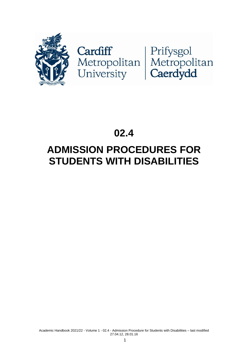

# Cardiff<br>Metropolitan Metropolitan<br>University Caerdydd

## **02.4**

## **ADMISSION PROCEDURES FOR STUDENTS WITH DISABILITIES**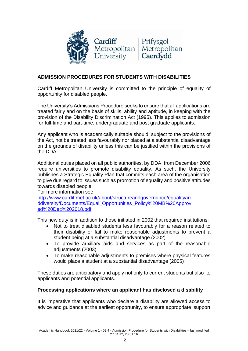

#### **ADMISSION PROCEDURES FOR STUDENTS WITH DISABILITIES**

Cardiff Metropolitan University is committed to the principle of equality of opportunity for disabled people.

The University's Admissions Procedure seeks to ensure that all applications are treated fairly and on the basis of skills, ability and aptitude, in keeping with the provision of the Disability Discrimination Act (1995). This applies to admission for full-time and part-time, undergraduate and post graduate applicants.

Any applicant who is academically suitable should, subject to the provisions of the Act, not be treated less favourably nor placed at a substantial disadvantage on the grounds of disability unless this can be justified within the provisions of the DDA.

Additional duties placed on all public authorities, by DDA, from December 2006 require universities to promote disability equality. As such, the University publishes a Strategic Equality Plan that commits each area of the organisation to give due regard to issues such as promotion of equality and positive attitudes towards disabled people.

For more information see:

[http://www.cardiffmet.ac.uk/about/structureandgovernance/equalityan](http://www.cardiffmet.ac.uk/about/structureandgovernance/equalityanddiversity/Documents/Equal_Opportunities_Policy%20MB%20Approved%20Dec%202018.pdf) [ddiversity/Documents/Equal\\_Opportunities\\_Policy%20MB%20Approv](http://www.cardiffmet.ac.uk/about/structureandgovernance/equalityanddiversity/Documents/Equal_Opportunities_Policy%20MB%20Approved%20Dec%202018.pdf) [ed%20Dec%202018.pdf](http://www.cardiffmet.ac.uk/about/structureandgovernance/equalityanddiversity/Documents/Equal_Opportunities_Policy%20MB%20Approved%20Dec%202018.pdf)

This new duty is in addition to those initiated in 2002 that required institutions:

- Not to treat disabled students less favourably for a reason related to their disability or fail to make reasonable adjustments to prevent a student being at a substantial disadvantage (2002)
- To provide auxiliary aids and services as part of the reasonable adjustments (2003)
- To make reasonable adjustments to premises where physical features would place a student at a substantial disadvantage (2005)

These duties are anticipatory and apply not only to current students but also to applicants and potential applicants.

#### **Processing applications where an applicant has disclosed a disability**

It is imperative that applicants who declare a disability are allowed access to advice and guidance at the earliest opportunity, to ensure appropriate support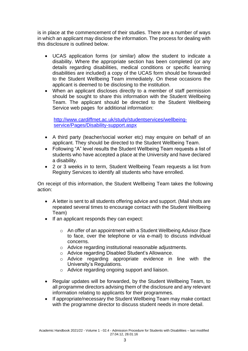is in place at the commencement of their studies. There are a number of ways in which an applicant may disclose the information. The process for dealing with this disclosure is outlined below.

- UCAS application forms (or similar) allow the student to indicate a disability. Where the appropriate section has been completed (or any details regarding disabilities, medical conditions or specific learning disabilities are included) a copy of the UCAS form should be forwarded to the Student Wellbeing Team immediately. On these occasions the applicant is deemed to be disclosing to the institution.
- When an applicant discloses directly to a member of staff permission should be sought to share this information with the Student Wellbeing Team. The applicant should be directed to the Student Wellbeing Service web pages for additional information:

[http://www.cardiffmet.ac.uk/study/studentservices/wellbeing](http://www.cardiffmet.ac.uk/study/studentservices/wellbeing-service/Pages/Disability-support.aspx)[service/Pages/Disability-support.aspx](http://www.cardiffmet.ac.uk/study/studentservices/wellbeing-service/Pages/Disability-support.aspx)

- A third party (teacher/social worker etc) may enquire on behalf of an applicant. They should be directed to the Student Wellbeing Team.
- Following "A" level results the Student Wellbeing Team requests a list of students who have accepted a place at the University and have declared a disability.
- 2 or 3 weeks in to term, Student Wellbeing Team requests a list from Registry Services to identify all students who have enrolled.

On receipt of this information, the Student Wellbeing Team takes the following action:

- A letter is sent to all students offering advice and support. (Mail shots are repeated several times to encourage contact with the Student Wellbeing Team)
- If an applicant responds they can expect:
	- o An offer of an appointment with a Student Wellbeing Advisor (face to face, over the telephone or via e-mail) to discuss individual concerns.
	- o Advice regarding institutional reasonable adjustments.
	- o Advice regarding Disabled Student's Allowance.
	- o Advice regarding appropriate evidence in line with the University's Regulations.
	- o Advice regarding ongoing support and liaison.
- Regular updates will be forwarded, by the Student Wellbeing Team, to all programme directors advising them of the disclosure and any relevant information relating to applicants for their programmes.
- If appropriate/necessary the Student Wellbeing Team may make contact with the programme director to discuss student needs in more detail.